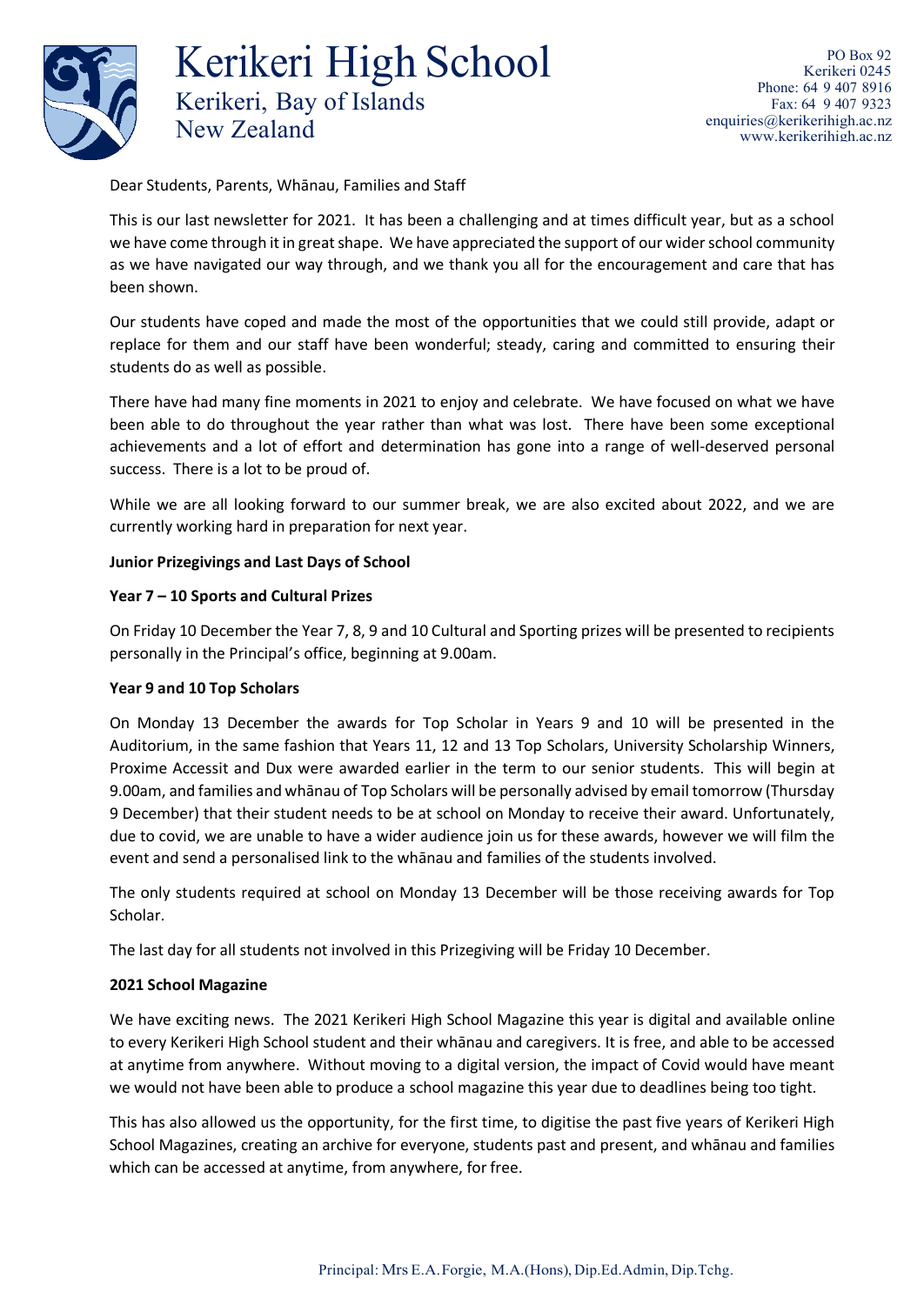

Dear Students, Parents, Whānau, Families and Staff

This is our last newsletter for 2021. It has been a challenging and at times difficult year, but as a school we have come through it in great shape. We have appreciated the support of our wider school community as we have navigated our way through, and we thank you all for the encouragement and care that has been shown.

Our students have coped and made the most of the opportunities that we could still provide, adapt or replace for them and our staff have been wonderful; steady, caring and committed to ensuring their students do as well as possible.

There have had many fine moments in 2021 to enjoy and celebrate. We have focused on what we have been able to do throughout the year rather than what was lost. There have been some exceptional achievements and a lot of effort and determination has gone into a range of well-deserved personal success. There is a lot to be proud of.

While we are all looking forward to our summer break, we are also excited about 2022, and we are currently working hard in preparation for next year.

# **Junior Prizegivings and Last Days of School**

# **Year 7 – 10 Sports and Cultural Prizes**

On Friday 10 December the Year 7, 8, 9 and 10 Cultural and Sporting prizes will be presented to recipients personally in the Principal's office, beginning at 9.00am.

## **Year 9 and 10 Top Scholars**

On Monday 13 December the awards for Top Scholar in Years 9 and 10 will be presented in the Auditorium, in the same fashion that Years 11, 12 and 13 Top Scholars, University Scholarship Winners, Proxime Accessit and Dux were awarded earlier in the term to our senior students. This will begin at 9.00am, and families and whānau of Top Scholars will be personally advised by email tomorrow (Thursday 9 December) that their student needs to be at school on Monday to receive their award. Unfortunately, due to covid, we are unable to have a wider audience join us for these awards, however we will film the event and send a personalised link to the whānau and families of the students involved.

The only students required at school on Monday 13 December will be those receiving awards for Top Scholar.

The last day for all students not involved in this Prizegiving will be Friday 10 December.

## **2021 School Magazine**

We have exciting news. The 2021 Kerikeri High School Magazine this year is digital and available online to every Kerikeri High School student and their whānau and caregivers. It is free, and able to be accessed at anytime from anywhere. Without moving to a digital version, the impact of Covid would have meant we would not have been able to produce a school magazine this year due to deadlines being too tight.

This has also allowed us the opportunity, for the first time, to digitise the past five years of Kerikeri High School Magazines, creating an archive for everyone, students past and present, and whānau and families which can be accessed at anytime, from anywhere, for free.